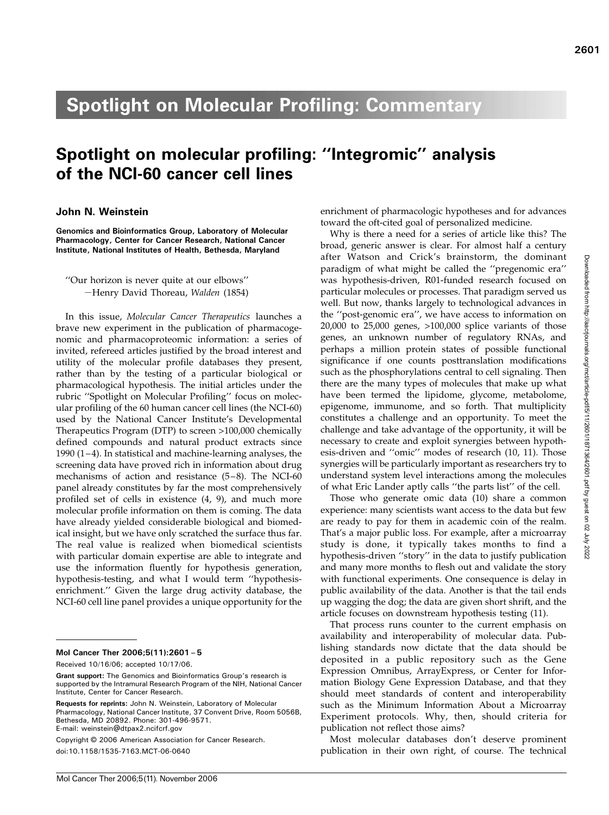# Spotlight on Molecular Profiling: Commentary

# Spotlight on molecular profiling: "Integromic" analysis of the NCI-60 cancer cell lines of the NCI-60 cancer cell lines

## John N. Weinstein

Genomics and Bioinformatics Group, Laboratory of Molecular Pharmacology, Center for Cancer Research, National Cancer Institute, National Institutes of Health, Bethesda, Maryland

''Our horizon is never quite at our elbows'' –Henry David Thoreau, Walden (1854)

In this issue, Molecular Cancer Therapeutics launches a brave new experiment in the publication of pharmacogenomic and pharmacoproteomic information: a series of invited, refereed articles justified by the broad interest and utility of the molecular profile databases they present, rather than by the testing of a particular biological or pharmacological hypothesis. The initial articles under the rubric ''Spotlight on Molecular Profiling'' focus on molecular profiling of the 60 human cancer cell lines (the NCI-60) used by the National Cancer Institute's Developmental Therapeutics Program (DTP) to screen >100,000 chemically defined compounds and natural product extracts since 1990  $(1-4)$ . In statistical and machine-learning analyses, the screening data have proved rich in information about drug mechanisms of action and resistance  $(5-8)$ . The NCI-60 panel already constitutes by far the most comprehensively profiled set of cells in existence (4, 9), and much more molecular profile information on them is coming. The data have already yielded considerable biological and biomedical insight, but we have only scratched the surface thus far. The real value is realized when biomedical scientists with particular domain expertise are able to integrate and use the information fluently for hypothesis generation, hypothesis-testing, and what I would term "hypothesisenrichment.'' Given the large drug activity database, the NCI-60 cell line panel provides a unique opportunity for the

## Mol Cancer Ther 2006;5(11):2601– 5

Received 10/16/06; accepted 10/17/06.

Requests for reprints: John N. Weinstein, Laboratory of Molecular Pharmacology, National Cancer Institute, 37 Convent Drive, Room 5056B, Bethesda, MD 20892. Phone: 301-496-9571. E-mail: weinstein@dtpax2.ncifcrf.gov

Copyright © 2006 American Association for Cancer Research. doi:10.1158/1535-7163.MCT-06-0640

enrichment of pharmacologic hypotheses and for advances toward the oft-cited goal of personalized medicine.

Why is there a need for a series of article like this? The broad, generic answer is clear. For almost half a century after Watson and Crick's brainstorm, the dominant paradigm of what might be called the ''pregenomic era'' was hypothesis-driven, R01-funded research focused on particular molecules or processes. That paradigm served us well. But now, thanks largely to technological advances in the ''post-genomic era'', we have access to information on 20,000 to 25,000 genes, >100,000 splice variants of those genes, an unknown number of regulatory RNAs, and perhaps a million protein states of possible functional significance if one counts posttranslation modifications such as the phosphorylations central to cell signaling. Then there are the many types of molecules that make up what have been termed the lipidome, glycome, metabolome, epigenome, immunome, and so forth. That multiplicity constitutes a challenge and an opportunity. To meet the challenge and take advantage of the opportunity, it will be necessary to create and exploit synergies between hypothesis-driven and ''omic'' modes of research (10, 11). Those synergies will be particularly important as researchers try to understand system level interactions among the molecules of what Eric Lander aptly calls ''the parts list'' of the cell.

Those who generate omic data (10) share a common experience: many scientists want access to the data but few are ready to pay for them in academic coin of the realm. That's a major public loss. For example, after a microarray study is done, it typically takes months to find a hypothesis-driven ''story'' in the data to justify publication and many more months to flesh out and validate the story with functional experiments. One consequence is delay in public availability of the data. Another is that the tail ends up wagging the dog; the data are given short shrift, and the article focuses on downstream hypothesis testing (11).

That process runs counter to the current emphasis on availability and interoperability of molecular data. Publishing standards now dictate that the data should be deposited in a public repository such as the Gene Expression Omnibus, ArrayExpress, or Center for Information Biology Gene Expression Database, and that they should meet standards of content and interoperability such as the Minimum Information About a Microarray Experiment protocols. Why, then, should criteria for publication not reflect those aims?

Most molecular databases don't deserve prominent publication in their own right, of course. The technical

Grant support: The Genomics and Bioinformatics Group's research is supported by the Intramural Research Program of the NIH, National Cancer Institute, Center for Cancer Research.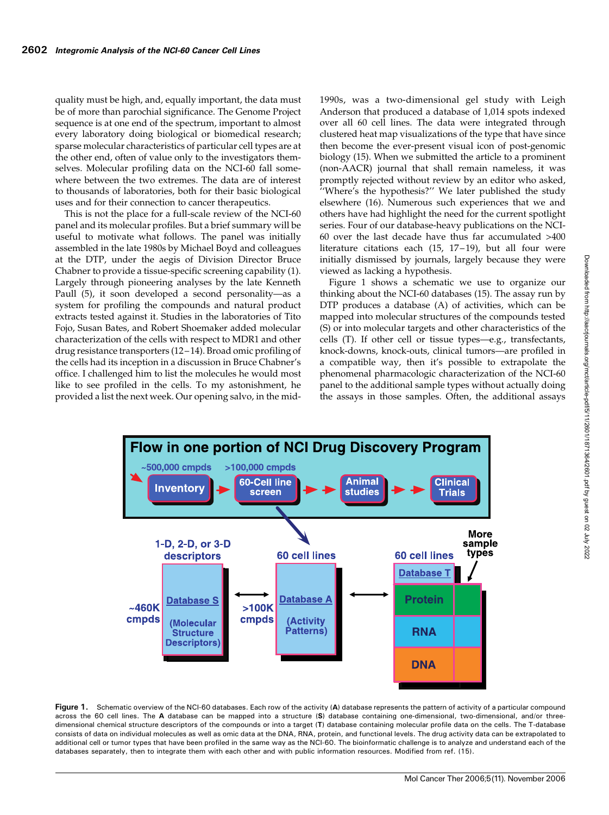quality must be high, and, equally important, the data must be of more than parochial significance. The Genome Project sequence is at one end of the spectrum, important to almost every laboratory doing biological or biomedical research; sparse molecular characteristics of particular cell types are at the other end, often of value only to the investigators themselves. Molecular profiling data on the NCI-60 fall somewhere between the two extremes. The data are of interest to thousands of laboratories, both for their basic biological uses and for their connection to cancer therapeutics.

This is not the place for a full-scale review of the NCI-60 panel and its molecular profiles. But a brief summary will be useful to motivate what follows. The panel was initially assembled in the late 1980s by Michael Boyd and colleagues at the DTP, under the aegis of Division Director Bruce Chabner to provide a tissue-specific screening capability (1). Largely through pioneering analyses by the late Kenneth Paull (5), it soon developed a second personality—as a system for profiling the compounds and natural product extracts tested against it. Studies in the laboratories of Tito Fojo, Susan Bates, and Robert Shoemaker added molecular characterization of the cells with respect to MDR1 and other drug resistance transporters (12 – 14). Broad omic profiling of the cells had its inception in a discussion in Bruce Chabner's office. Ichallenged him to list the molecules he would most like to see profiled in the cells. To my astonishment, he provided a list the next week. Our opening salvo, in the mid1990s, was a two-dimensional gel study with Leigh Anderson that produced a database of 1,014 spots indexed over all 60 cell lines. The data were integrated through clustered heat map visualizations of the type that have since then become the ever-present visual icon of post-genomic biology (15). When we submitted the article to a prominent (non-AACR) journal that shall remain nameless, it was promptly rejected without review by an editor who asked, ''Where's the hypothesis?'' We later published the study elsewhere (16). Numerous such experiences that we and others have had highlight the need for the current spotlight series. Four of our database-heavy publications on the NCI-60 over the last decade have thus far accumulated >400 literature citations each (15, 17-19), but all four were initially dismissed by journals, largely because they were viewed as lacking a hypothesis.

Figure 1 shows a schematic we use to organize our thinking about the NCI-60 databases (15). The assay run by DTP produces a database (A) of activities, which can be mapped into molecular structures of the compounds tested (S) or into molecular targets and other characteristics of the cells (T). If other cell or tissue types—e.g., transfectants, knock-downs, knock-outs, clinical tumors—are profiled in a compatible way, then it's possible to extrapolate the phenomenal pharmacologic characterization of the NCI-60 panel to the additional sample types without actually doing the assays in those samples. Often, the additional assays



Figure 1. Schematic overview of the NCI-60 databases. Each row of the activity (A) database represents the pattern of activity of a particular compound across the 60 cell lines. The A database can be mapped into a structure (S) database containing one-dimensional, two-dimensional, and/or threedimensional chemical structure descriptors of the compounds or into a target (T) database containing molecular profile data on the cells. The T-database consists of data on individual molecules as well as omic data at the DNA, RNA, protein, and functional levels. The drug activity data can be extrapolated to additional cell or tumor types that have been profiled in the same way as the NCI-60. The bioinformatic challenge is to analyze and understand each of the databases separately, then to integrate them with each other and with public information resources. Modified from ref. (15).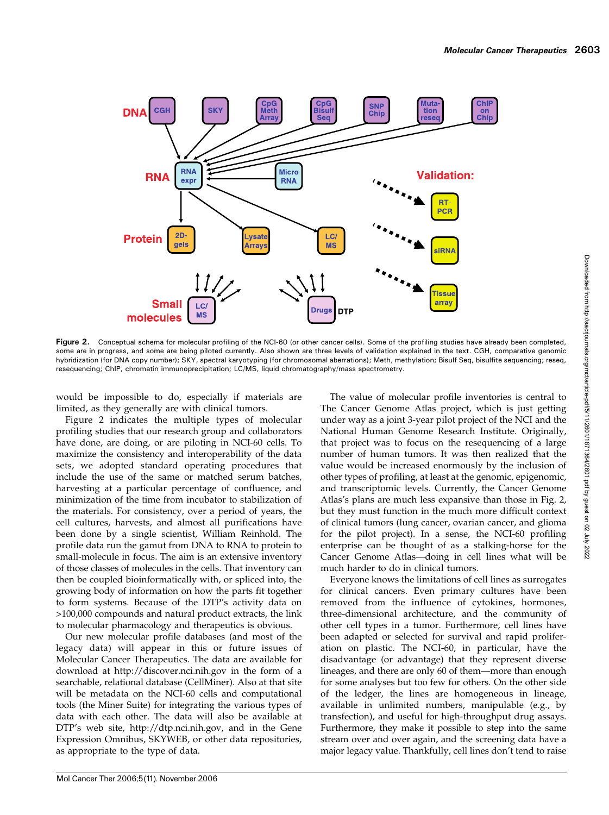

Figure 2. Conceptual schema for molecular profiling of the NCI-60 (or other cancer cells). Some of the profiling studies have already been completed, some are in progress, and some are being piloted currently. Also shown are three levels of validation explained in the text. CGH, comparative genomic hybridization (for DNA copy number); SKY, spectral karyotyping (for chromosomal aberrations); Meth, methylation; Bisulf Seq, bisulfite sequencing; reseq, resequencing; ChIP, chromatin immunoprecipitation; LC/MS, liquid chromatography/mass spectrometry.

would be impossible to do, especially if materials are limited, as they generally are with clinical tumors.

Figure 2 indicates the multiple types of molecular profiling studies that our research group and collaborators have done, are doing, or are piloting in NCI-60 cells. To maximize the consistency and interoperability of the data sets, we adopted standard operating procedures that include the use of the same or matched serum batches, harvesting at a particular percentage of confluence, and minimization of the time from incubator to stabilization of the materials. For consistency, over a period of years, the cell cultures, harvests, and almost all purifications have been done by a single scientist, William Reinhold. The profile data run the gamut from DNA to RNA to protein to small-molecule in focus. The aim is an extensive inventory of those classes of molecules in the cells. That inventory can then be coupled bioinformatically with, or spliced into, the growing body of information on how the parts fit together to form systems. Because of the DTP's activity data on >100,000 compounds and natural product extracts, the link to molecular pharmacology and therapeutics is obvious.

Our new molecular profile databases (and most of the legacy data) will appear in this or future issues of Molecular Cancer Therapeutics. The data are available for download at http://discover.nci.nih.gov in the form of a searchable, relational database (CellMiner). Also at that site will be metadata on the NCI-60 cells and computational tools (the Miner Suite) for integrating the various types of data with each other. The data will also be available at DTP's web site, http://dtp.nci.nih.gov, and in the Gene Expression Omnibus, SKYWEB, or other data repositories, as appropriate to the type of data.

The value of molecular profile inventories is central to The Cancer Genome Atlas project, which is just getting under way as a joint 3-year pilot project of the NCI and the National Human Genome Research Institute. Originally, that project was to focus on the resequencing of a large number of human tumors. It was then realized that the value would be increased enormously by the inclusion of other types of profiling, at least at the genomic, epigenomic, and transcriptomic levels. Currently, the Cancer Genome Atlas's plans are much less expansive than those in Fig. 2, but they must function in the much more difficult context of clinical tumors (lung cancer, ovarian cancer, and glioma for the pilot project). In a sense, the NCI-60 profiling enterprise can be thought of as a stalking-horse for the Cancer Genome Atlas—doing in cell lines what will be much harder to do in clinical tumors.

Everyone knows the limitations of cell lines as surrogates for clinical cancers. Even primary cultures have been removed from the influence of cytokines, hormones, three-dimensional architecture, and the community of other cell types in a tumor. Furthermore, cell lines have been adapted or selected for survival and rapid proliferation on plastic. The NCI-60, in particular, have the disadvantage (or advantage) that they represent diverse lineages, and there are only 60 of them—more than enough for some analyses but too few for others. On the other side of the ledger, the lines are homogeneous in lineage, available in unlimited numbers, manipulable (e.g., by transfection), and useful for high-throughput drug assays. Furthermore, they make it possible to step into the same stream over and over again, and the screening data have a major legacy value. Thankfully, cell lines don't tend to raise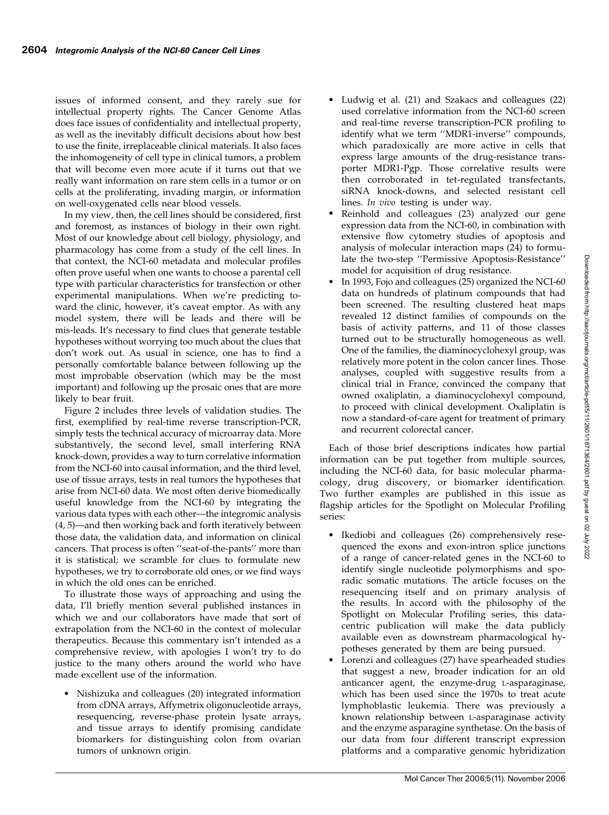issues of informed consent, and they rarely sue for intellectual property rights. The Cancer Genome Atlas does face issues of confidentiality and intellectual property, as well as the inevitably difficult decisions about how best to use the finite, irreplaceable clinical materials. It also faces the inhomogeneity of cell type in clinical tumors, a problem that will become even more acute if it turns out that we really want information on rare stem cells in a tumor or on cells at the proliferating, invading margin, or information on well-oxygenated cells near blood vessels.

In my view, then, the cell lines should be considered, first and foremost, as instances of biology in their own right. Most of our knowledge about cell biology, physiology, and pharmacology has come from a study of the cell lines. In that context, the NCI-60 metadata and molecular profiles often prove useful when one wants to choose a parental cell type with particular characteristics for transfection or other experimental manipulations. When we're predicting toward the clinic, however, it's caveat emptor. As with any model system, there will be leads and there will be mis-leads. It's necessary to find clues that generate testable hypotheses without worrying too much about the clues that don't work out. As usual in science, one has to find a personally comfortable balance between following up the most improbable observation (which may be the most important) and following up the prosaic ones that are more likely to bear fruit.

Figure 2 includes three levels of validation studies. The first, exemplified by real-time reverse transcription-PCR, simply tests the technical accuracy of microarray data. More substantively, the second level, small interfering RNA knock-down, provides a way to turn correlative information from the NCI-60 into causal information, and the third level, use of tissue arrays, tests in real tumors the hypotheses that arise from NCI-60 data. We most often derive biomedically useful knowledge from the NCI-60 by integrating the various data types with each other—the integromic analysis (4, 5)—and then working back and forth iteratively between those data, the validation data, and information on clinical cancers. That process is often ''seat-of-the-pants'' more than it is statistical; we scramble for clues to formulate new hypotheses, we try to corroborate old ones, or we find ways in which the old ones can be enriched.

To illustrate those ways of approaching and using the data, I'll briefly mention several published instances in which we and our collaborators have made that sort of extrapolation from the NCI-60 in the context of molecular therapeutics. Because this commentary isn't intended as a comprehensive review, with apologies I won't try to do justice to the many others around the world who have made excellent use of the information.

 Nishizuka and colleagues (20) integrated information from cDNA arrays, Affymetrix oligonucleotide arrays, resequencing, reverse-phase protein lysate arrays, and tissue arrays to identify promising candidate biomarkers for distinguishing colon from ovarian tumors of unknown origin.

- Ludwig et al. (21) and Szakacs and colleagues (22) used correlative information from the NCI-60 screen and real-time reverse transcription-PCR profiling to identify what we term ''MDR1-inverse'' compounds, which paradoxically are more active in cells that express large amounts of the drug-resistance transporter MDR1-Pgp. Those correlative results were then corroborated in tet-regulated transfectants, siRNA knock-downs, and selected resistant cell lines. In vivo testing is under way.
- Reinhold and colleagues (23) analyzed our gene expression data from the NCI-60, in combination with extensive flow cytometry studies of apoptosis and analysis of molecular interaction maps (24) to formulate the two-step ''Permissive Apoptosis-Resistance'' model for acquisition of drug resistance.
- In 1993, Fojo and colleagues (25) organized the NCI-60 data on hundreds of platinum compounds that had been screened. The resulting clustered heat maps revealed 12 distinct families of compounds on the basis of activity patterns, and 11 of those classes turned out to be structurally homogeneous as well. One of the families, the diaminocyclohexyl group, was relatively more potent in the colon cancer lines. Those analyses, coupled with suggestive results from a clinical trial in France, convinced the company that owned oxaliplatin, a diaminocyclohexyl compound, to proceed with clinical development. Oxaliplatin is now a standard-of-care agent for treatment of primary and recurrent colorectal cancer.

Each of those brief descriptions indicates how partial information can be put together from multiple sources, including the NCI-60 data, for basic molecular pharmacology, drug discovery, or biomarker identification. Two further examples are published in this issue as flagship articles for the Spotlight on Molecular Profiling series:

- Ikediobi and colleagues (26) comprehensively resequenced the exons and exon-intron splice junctions of a range of cancer-related genes in the NCI-60 to identify single nucleotide polymorphisms and sporadic somatic mutations. The article focuses on the resequencing itself and on primary analysis of the results. In accord with the philosophy of the Spotlight on Molecular Profiling series, this datacentric publication will make the data publicly available even as downstream pharmacological hypotheses generated by them are being pursued.
- Lorenzi and colleagues (27) have spearheaded studies that suggest a new, broader indication for an old anticancer agent, the enzyme-drug L-asparaginase, which has been used since the 1970s to treat acute lymphoblastic leukemia. There was previously a known relationship between L-asparaginase activity and the enzyme asparagine synthetase. On the basis of our data from four different transcript expression platforms and a comparative genomic hybridization